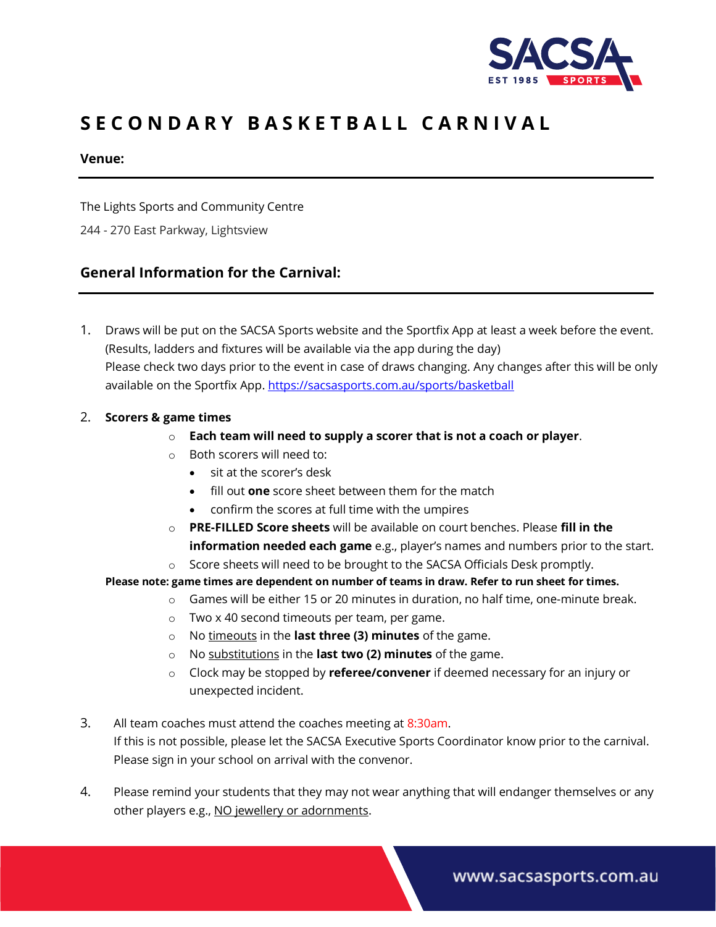

# **S E C O N D A R Y B A S K E T B A L L C A R N I V A L**

## **Venue:**

The Lights Sports and Community Centre

244 - 270 East Parkway, Lightsview

# **General Information for the Carnival:**

1. Draws will be put on the SACSA Sports website and the Sportfix App at least a week before the event. (Results, ladders and fixtures will be available via the app during the day) Please check two days prior to the event in case of draws changing. Any changes after this will be only available on the Sportfix App. <https://sacsasports.com.au/sports/basketball>

### 2. **Scorers & game times**

- o **Each team will need to supply a scorer that is not a coach or player**.
- o Both scorers will need to:
	- sit at the scorer's desk
	- fill out **one** score sheet between them for the match
	- confirm the scores at full time with the umpires
- o **PRE-FILLED Score sheets** will be available on court benches. Please **fill in the information needed each game** e.g., player's names and numbers prior to the start.
- $\circ$  Score sheets will need to be brought to the SACSA Officials Desk promptly.

#### **Please note: game times are dependent on number of teams in draw. Refer to run sheet for times.**

- $\circ$  Games will be either 15 or 20 minutes in duration, no half time, one-minute break.
- o Two x 40 second timeouts per team, per game.
- o No timeouts in the **last three (3) minutes** of the game.
- o No substitutions in the **last two (2) minutes** of the game.
- o Clock may be stopped by **referee/convener** if deemed necessary for an injury or unexpected incident.
- 3. All team coaches must attend the coaches meeting at 8:30am. If this is not possible, please let the SACSA Executive Sports Coordinator know prior to the carnival. Please sign in your school on arrival with the convenor.
- 4. Please remind your students that they may not wear anything that will endanger themselves or any other players e.g., NO jewellery or adornments.

www.sacsasports.com.au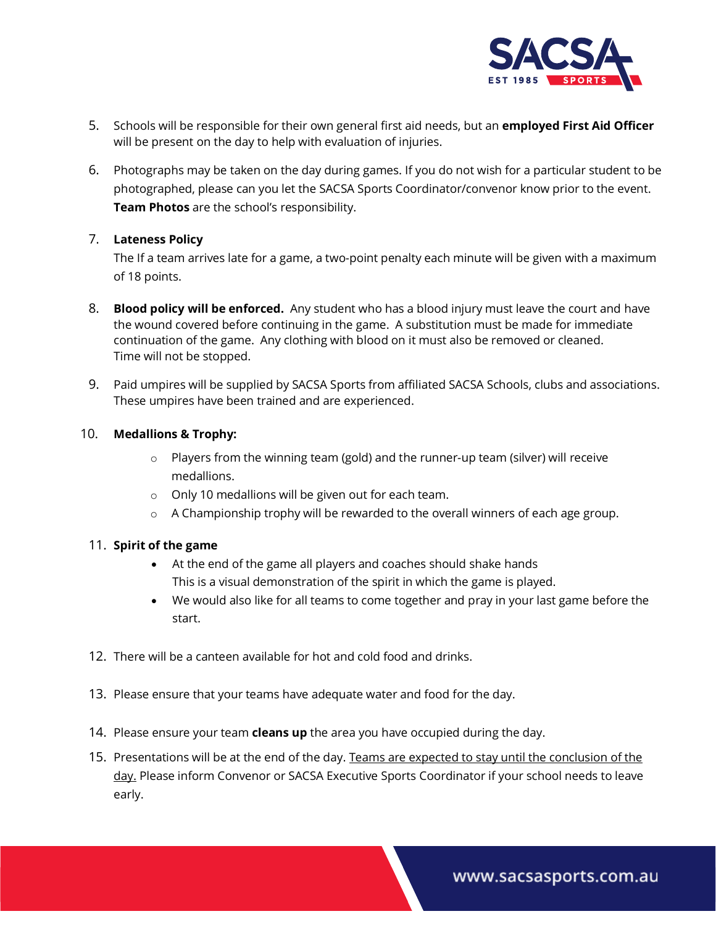

- 5. Schools will be responsible for their own general first aid needs, but an **employed First Aid Officer** will be present on the day to help with evaluation of injuries.
- 6. Photographs may be taken on the day during games. If you do not wish for a particular student to be photographed, please can you let the SACSA Sports Coordinator/convenor know prior to the event. **Team Photos** are the school's responsibility.

## 7. **Lateness Policy**

The If a team arrives late for a game, a two-point penalty each minute will be given with a maximum of 18 points.

- 8. **Blood policy will be enforced.** Any student who has a blood injury must leave the court and have the wound covered before continuing in the game. A substitution must be made for immediate continuation of the game. Any clothing with blood on it must also be removed or cleaned. Time will not be stopped.
- 9. Paid umpires will be supplied by SACSA Sports from affiliated SACSA Schools, clubs and associations. These umpires have been trained and are experienced.

### 10. **Medallions & Trophy:**

- $\circ$  Players from the winning team (gold) and the runner-up team (silver) will receive medallions.
- o Only 10 medallions will be given out for each team.
- $\circ$  A Championship trophy will be rewarded to the overall winners of each age group.

## 11. **Spirit of the game**

- At the end of the game all players and coaches should shake hands This is a visual demonstration of the spirit in which the game is played.
- We would also like for all teams to come together and pray in your last game before the start.
- 12. There will be a canteen available for hot and cold food and drinks.
- 13. Please ensure that your teams have adequate water and food for the day.
- 14. Please ensure your team **cleans up** the area you have occupied during the day.
- 15. Presentations will be at the end of the day. Teams are expected to stay until the conclusion of the day. Please inform Convenor or SACSA Executive Sports Coordinator if your school needs to leave early.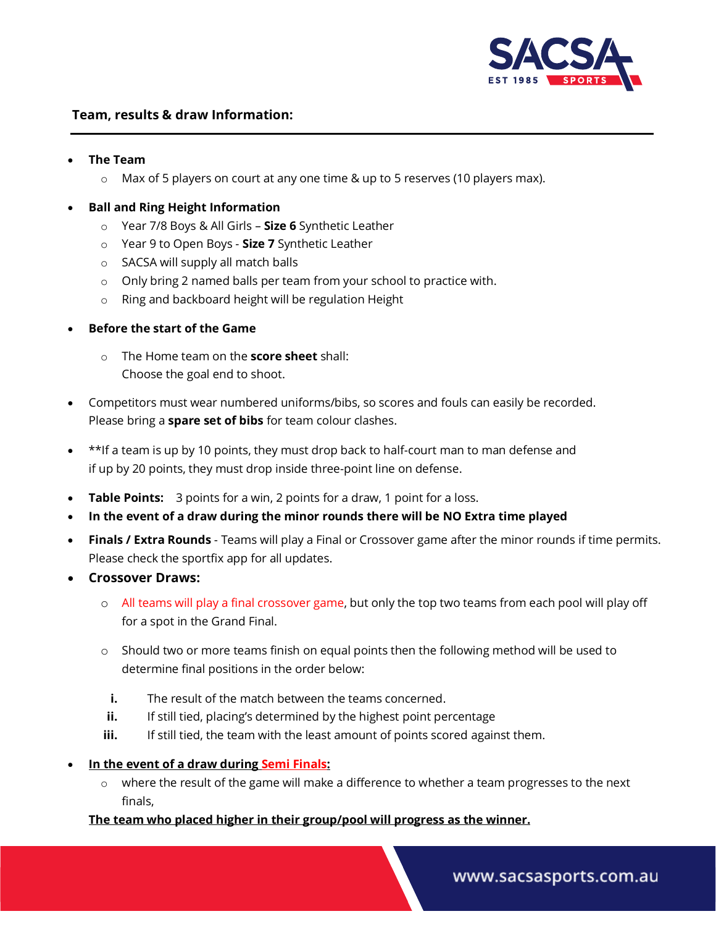

## **Team, results & draw Information:**

- **The Team**
	- o Max of 5 players on court at any one time & up to 5 reserves (10 players max).

## • **Ball and Ring Height Information**

- o Year 7/8 Boys & All Girls **Size 6** Synthetic Leather
- o Year 9 to Open Boys **Size 7** Synthetic Leather
- o SACSA will supply all match balls
- o Only bring 2 named balls per team from your school to practice with.
- o Ring and backboard height will be regulation Height
- **Before the start of the Game**
	- o The Home team on the **score sheet** shall: Choose the goal end to shoot.
- Competitors must wear numbered uniforms/bibs, so scores and fouls can easily be recorded. Please bring a **spare set of bibs** for team colour clashes.
- \*\*If a team is up by 10 points, they must drop back to half-court man to man defense and if up by 20 points, they must drop inside three-point line on defense.
- **Table Points:** 3 points for a win, 2 points for a draw, 1 point for a loss.
- **In the event of a draw during the minor rounds there will be NO Extra time played**
- **Finals / Extra Rounds** Teams will play a Final or Crossover game after the minor rounds if time permits. Please check the sportfix app for all updates.
- **Crossover Draws:**
	- o All teams will play a final crossover game, but only the top two teams from each pool will play off for a spot in the Grand Final.
	- $\circ$  Should two or more teams finish on equal points then the following method will be used to determine final positions in the order below:
		- **i.** The result of the match between the teams concerned.
	- **ii.** If still tied, placing's determined by the highest point percentage
	- **iii.** If still tied, the team with the least amount of points scored against them.
- **In the event of a draw during Semi Finals:**
	- $\circ$  where the result of the game will make a difference to whether a team progresses to the next finals,

#### **The team who placed higher in their group/pool will progress as the winner.**

www.sacsasports.com.au